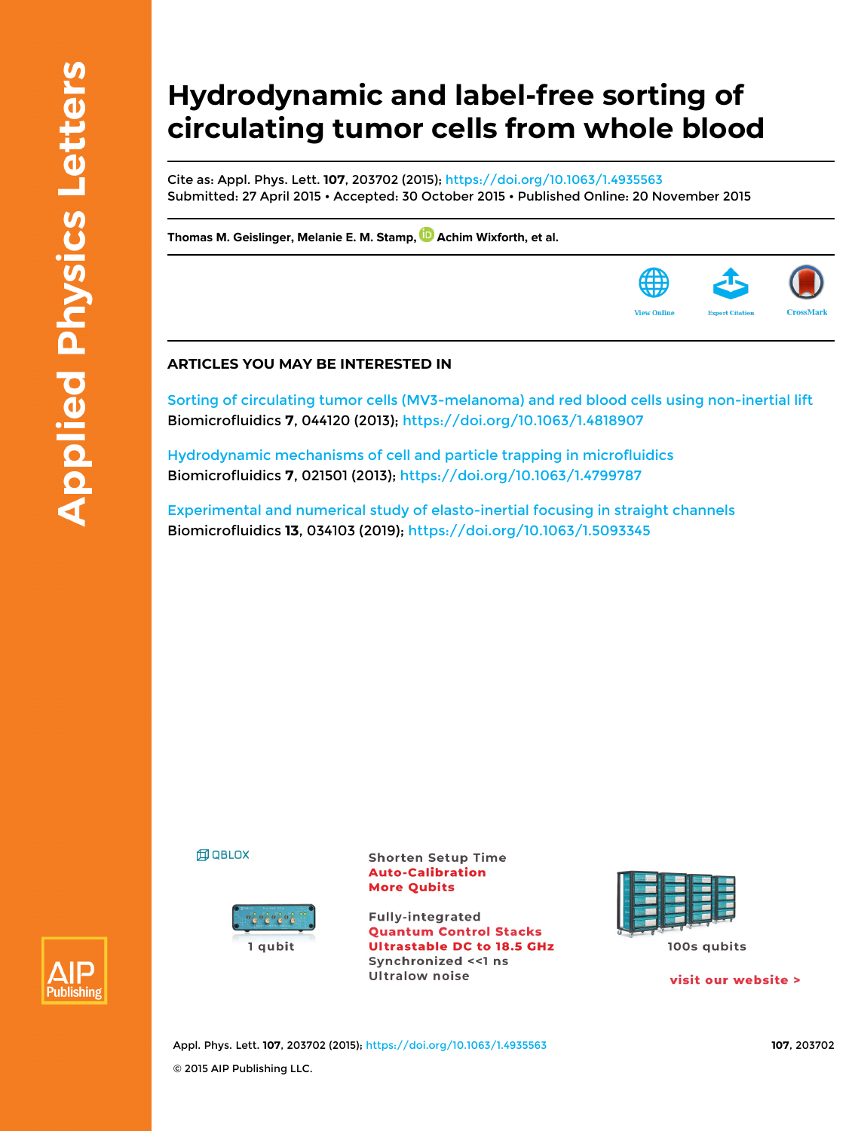## **Hydrodynamic and label-free sorting of circulating tumor cells from whole blood**

Cite as: Appl. Phys. Lett. **107**, 203702 (2015);<https://doi.org/10.1063/1.4935563> Submitted: 27 April 2015 • Accepted: 30 October 2015 • Published Online: 20 November 2015

**[Thomas M. Geislinger](https://aip.scitation.org/author/Geislinger%2C+Thomas+M), [Melanie E. M. Stamp](https://aip.scitation.org/author/Stamp%2C+Melanie+E+M), [Achim Wixforth,](https://aip.scitation.org/author/Wixforth%2C+Achim) et al.**

## **ARTICLES YOU MAY BE INTERESTED IN**

[Sorting of circulating tumor cells \(MV3-melanoma\) and red blood cells using non-inertial lift](https://aip.scitation.org/doi/10.1063/1.4818907) Biomicrofluidics **7**, 044120 (2013);<https://doi.org/10.1063/1.4818907>

[Hydrodynamic mechanisms of cell and particle trapping in microfluidics](https://aip.scitation.org/doi/10.1063/1.4799787) Biomicrofluidics **7**, 021501 (2013); <https://doi.org/10.1063/1.4799787>

[Experimental and numerical study of elasto-inertial focusing in straight channels](https://aip.scitation.org/doi/10.1063/1.5093345) Biomicrofluidics **13**, 034103 (2019);<https://doi.org/10.1063/1.5093345>

**印 QBLOX** 



**Shorten Setup Time Auto-Calibration More Qubits** 

**Fully-integrated Quantum Control Stacks Ultrastable DC to 18.5 GHz** Synchronized << 1 ns **Ultralow noise** 



visit our website >



Appl. Phys. Lett. **107**, 203702 (2015); <https://doi.org/10.1063/1.4935563> **107**, 203702 © 2015 AIP Publishing LLC.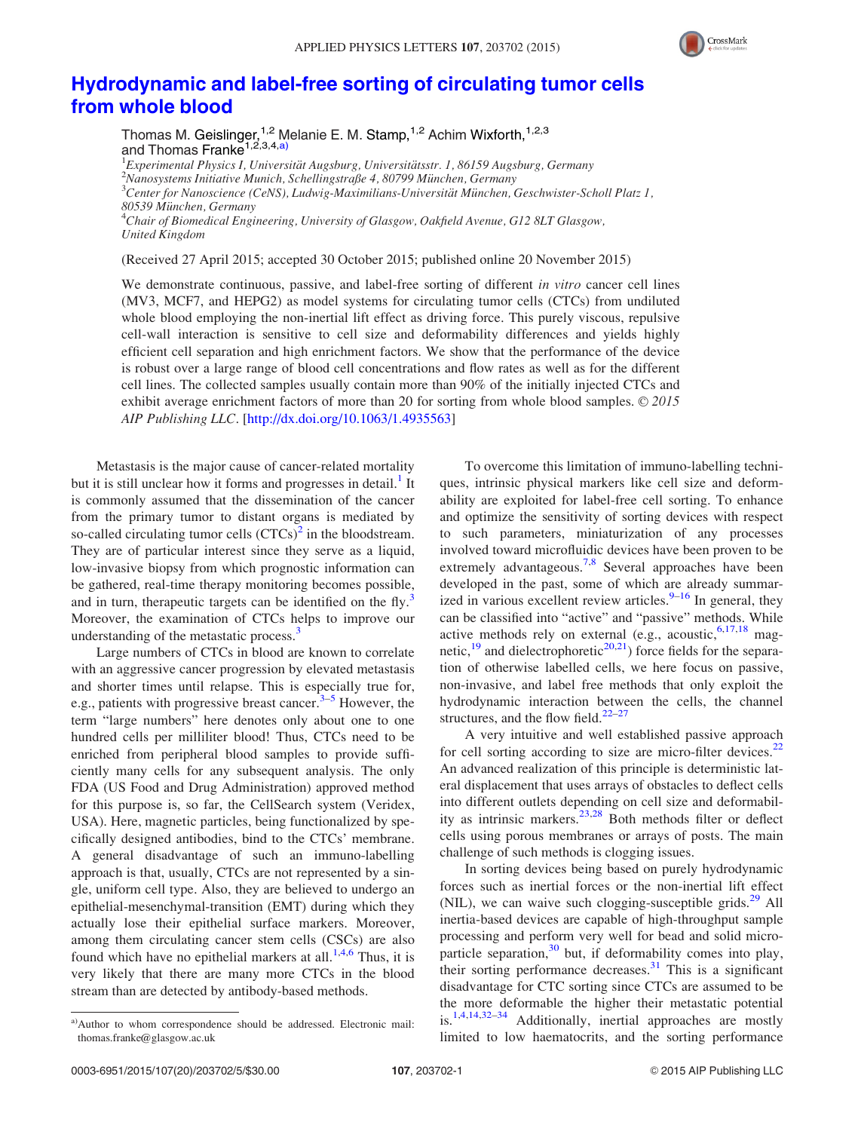

## [Hydrodynamic and label-free sorting of circulating tumor cells](http://dx.doi.org/10.1063/1.4935563) [from whole blood](http://dx.doi.org/10.1063/1.4935563)

Thomas M. Geislinger,<sup>1,2</sup> Melanie E. M. Stamp,<sup>1,2</sup> Achim Wixforth,<sup>1,2,3</sup> and Thomas Franke<sup>1,2,3,4,a)</sup>

<sup>1</sup> Experimental Physics I, Universität Augsburg, Universitätsstr. 1, 86159 Augsburg, Germany<br><sup>2</sup>Nanosystems Initiative Munich, Schellingstraße 4, 80700 München, Germany  $^{2}$ Nanosystems Initiative Munich, Schellingstraße 4, 80799 München, Germany  ${}^{3}$ Center for Nanoscience (CeNS), Ludwig-Maximilians-Universität München, Geschwister-Scholl Platz 1, 80539 München, Germany  $\rm ^*$ Chair of Biomedical Engineering, University of Glasgow, Oakfield Avenue, G12 8LT Glasgow, United Kingdom

(Received 27 April 2015; accepted 30 October 2015; published online 20 November 2015)

We demonstrate continuous, passive, and label-free sorting of different in vitro cancer cell lines (MV3, MCF7, and HEPG2) as model systems for circulating tumor cells (CTCs) from undiluted whole blood employing the non-inertial lift effect as driving force. This purely viscous, repulsive cell-wall interaction is sensitive to cell size and deformability differences and yields highly efficient cell separation and high enrichment factors. We show that the performance of the device is robust over a large range of blood cell concentrations and flow rates as well as for the different cell lines. The collected samples usually contain more than 90% of the initially injected CTCs and exhibit average enrichment factors of more than 20 for sorting from whole blood samples.  $\odot$  2015 AIP Publishing LLC. [\[http://dx.doi.org/10.1063/1.4935563](http://dx.doi.org/10.1063/1.4935563)]

Metastasis is the major cause of cancer-related mortality but it is still unclear how it forms and progresses in detail.<sup>[1](#page-4-0)</sup> It is commonly assumed that the dissemination of the cancer from the primary tumor to distant organs is mediated by so-called circulating tumor cells  $(CTCs)^2$  $(CTCs)^2$  in the bloodstream. They are of particular interest since they serve as a liquid, low-invasive biopsy from which prognostic information can be gathered, real-time therapy monitoring becomes possible, and in turn, therapeutic targets can be identified on the fly.<sup>[3](#page-4-0)</sup> Moreover, the examination of CTCs helps to improve our understanding of the metastatic process.<sup>[3](#page-4-0)</sup>

Large numbers of CTCs in blood are known to correlate with an aggressive cancer progression by elevated metastasis and shorter times until relapse. This is especially true for, e.g., patients with progressive breast cancer. $3-5$  However, the term "large numbers" here denotes only about one to one hundred cells per milliliter blood! Thus, CTCs need to be enriched from peripheral blood samples to provide sufficiently many cells for any subsequent analysis. The only FDA (US Food and Drug Administration) approved method for this purpose is, so far, the CellSearch system (Veridex, USA). Here, magnetic particles, being functionalized by specifically designed antibodies, bind to the CTCs' membrane. A general disadvantage of such an immuno-labelling approach is that, usually, CTCs are not represented by a single, uniform cell type. Also, they are believed to undergo an epithelial-mesenchymal-transition (EMT) during which they actually lose their epithelial surface markers. Moreover, among them circulating cancer stem cells (CSCs) are also found which have no epithelial markers at all.<sup>1,[4,6](#page-4-0)</sup> Thus, it is very likely that there are many more CTCs in the blood stream than are detected by antibody-based methods.

To overcome this limitation of immuno-labelling techniques, intrinsic physical markers like cell size and deformability are exploited for label-free cell sorting. To enhance and optimize the sensitivity of sorting devices with respect to such parameters, miniaturization of any processes involved toward microfluidic devices have been proven to be extremely advantageous.<sup>[7,8](#page-4-0)</sup> Several approaches have been developed in the past, some of which are already summarized in various excellent review articles. $9-16$  $9-16$  $9-16$  In general, they can be classified into "active" and "passive" methods. While active methods rely on external (e.g., acoustic,  $6,17,18$  magnetic, $19$  and dielectrophoretic<sup>[20,](#page-4-0)[21](#page-5-0)</sup>) force fields for the separation of otherwise labelled cells, we here focus on passive, non-invasive, and label free methods that only exploit the hydrodynamic interaction between the cells, the channel structures, and the flow field. $22-27$ 

A very intuitive and well established passive approach for cell sorting according to size are micro-filter devices.<sup>[22](#page-5-0)</sup> An advanced realization of this principle is deterministic lateral displacement that uses arrays of obstacles to deflect cells into different outlets depending on cell size and deformability as intrinsic markers.[23,28](#page-5-0) Both methods filter or deflect cells using porous membranes or arrays of posts. The main challenge of such methods is clogging issues.

In sorting devices being based on purely hydrodynamic forces such as inertial forces or the non-inertial lift effect (NIL), we can waive such clogging-susceptible grids. $^{29}$  $^{29}$  $^{29}$  All inertia-based devices are capable of high-throughput sample processing and perform very well for bead and solid microparticle separation, $30$  but, if deformability comes into play, their sorting performance decreases. $31$  This is a significant disadvantage for CTC sorting since CTCs are assumed to be the more deformable the higher their metastatic potential is.[1,4,14,](#page-4-0)[32–34](#page-5-0) Additionally, inertial approaches are mostly limited to low haematocrits, and the sorting performance

a)Author to whom correspondence should be addressed. Electronic mail: [thomas.franke@glasgow.ac.uk](mailto:thomas.franke@glasgow.ac.uk)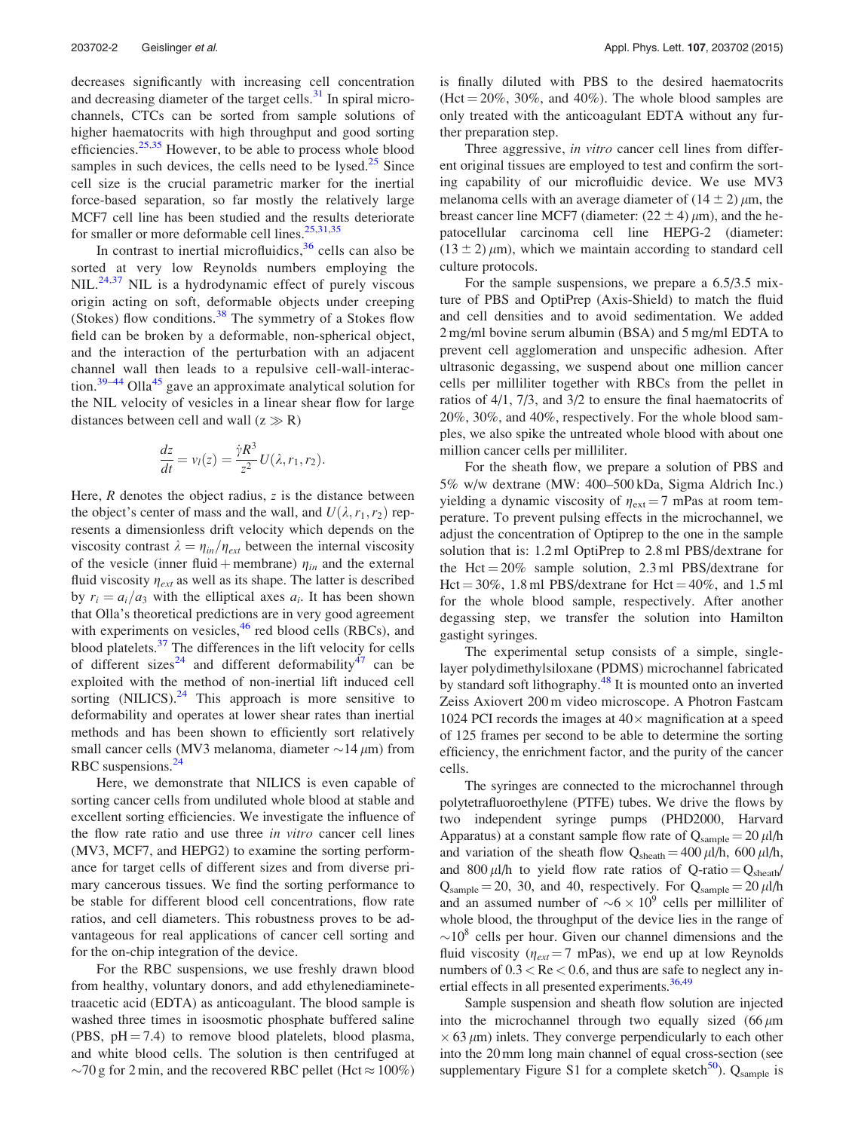decreases significantly with increasing cell concentration and decreasing diameter of the target cells. $31$  In spiral microchannels, CTCs can be sorted from sample solutions of higher haematocrits with high throughput and good sorting efficiencies.<sup>[25,35](#page-5-0)</sup> However, to be able to process whole blood samples in such devices, the cells need to be lysed. $25$  Since cell size is the crucial parametric marker for the inertial force-based separation, so far mostly the relatively large MCF7 cell line has been studied and the results deteriorate for smaller or more deformable cell lines. $25,31,35$ 

In contrast to inertial microfluidics,  $36$  cells can also be sorted at very low Reynolds numbers employing the NIL.<sup>[24,37](#page-5-0)</sup> NIL is a hydrodynamic effect of purely viscous origin acting on soft, deformable objects under creeping (Stokes) flow conditions. $38$  The symmetry of a Stokes flow field can be broken by a deformable, non-spherical object, and the interaction of the perturbation with an adjacent channel wall then leads to a repulsive cell-wall-interac-tion.<sup>[39–44](#page-5-0)</sup> Olla<sup>[45](#page-5-0)</sup> gave an approximate analytical solution for the NIL velocity of vesicles in a linear shear flow for large distances between cell and wall  $(z \gg R)$ 

$$
\frac{dz}{dt} = v_l(z) = \frac{\dot{\gamma}R^3}{z^2}U(\lambda, r_1, r_2).
$$

Here,  $R$  denotes the object radius,  $z$  is the distance between the object's center of mass and the wall, and  $U(\lambda, r_1, r_2)$  represents a dimensionless drift velocity which depends on the viscosity contrast  $\lambda = \eta_{in}/\eta_{ext}$  between the internal viscosity of the vesicle (inner fluid + membrane)  $\eta_{in}$  and the external fluid viscosity  $\eta_{ext}$  as well as its shape. The latter is described by  $r_i = a_i/a_3$  with the elliptical axes  $a_i$ . It has been shown that Olla's theoretical predictions are in very good agreement with experiments on vesicles, $46$  red blood cells (RBCs), and blood platelets.[37](#page-5-0) The differences in the lift velocity for cells of different sizes<sup>[24](#page-5-0)</sup> and different deformability<sup>[47](#page-5-0)</sup> can be exploited with the method of non-inertial lift induced cell sorting  $(NILICS).^{24}$  $(NILICS).^{24}$  $(NILICS).^{24}$  This approach is more sensitive to deformability and operates at lower shear rates than inertial methods and has been shown to efficiently sort relatively small cancer cells (MV3 melanoma, diameter  $\sim$ 14  $\mu$ m) from RBC suspensions.<sup>[24](#page-5-0)</sup>

Here, we demonstrate that NILICS is even capable of sorting cancer cells from undiluted whole blood at stable and excellent sorting efficiencies. We investigate the influence of the flow rate ratio and use three *in vitro* cancer cell lines (MV3, MCF7, and HEPG2) to examine the sorting performance for target cells of different sizes and from diverse primary cancerous tissues. We find the sorting performance to be stable for different blood cell concentrations, flow rate ratios, and cell diameters. This robustness proves to be advantageous for real applications of cancer cell sorting and for the on-chip integration of the device.

For the RBC suspensions, we use freshly drawn blood from healthy, voluntary donors, and add ethylenediaminetetraacetic acid (EDTA) as anticoagulant. The blood sample is washed three times in isoosmotic phosphate buffered saline (PBS,  $pH = 7.4$ ) to remove blood platelets, blood plasma, and white blood cells. The solution is then centrifuged at  $\sim$ 70 g for 2 min, and the recovered RBC pellet (Hct  $\approx$  100%) is finally diluted with PBS to the desired haematocrits  $(Het = 20\%, 30\%, and 40\%).$  The whole blood samples are only treated with the anticoagulant EDTA without any further preparation step.

Three aggressive, in vitro cancer cell lines from different original tissues are employed to test and confirm the sorting capability of our microfluidic device. We use MV3 melanoma cells with an average diameter of  $(14 \pm 2) \mu m$ , the breast cancer line MCF7 (diameter:  $(22 \pm 4) \mu$ m), and the hepatocellular carcinoma cell line HEPG-2 (diameter:  $(13 \pm 2) \mu$ m), which we maintain according to standard cell culture protocols.

For the sample suspensions, we prepare a 6.5/3.5 mixture of PBS and OptiPrep (Axis-Shield) to match the fluid and cell densities and to avoid sedimentation. We added 2 mg/ml bovine serum albumin (BSA) and 5 mg/ml EDTA to prevent cell agglomeration and unspecific adhesion. After ultrasonic degassing, we suspend about one million cancer cells per milliliter together with RBCs from the pellet in ratios of 4/1, 7/3, and 3/2 to ensure the final haematocrits of 20%, 30%, and 40%, respectively. For the whole blood samples, we also spike the untreated whole blood with about one million cancer cells per milliliter.

For the sheath flow, we prepare a solution of PBS and 5% w/w dextrane (MW: 400–500 kDa, Sigma Aldrich Inc.) yielding a dynamic viscosity of  $\eta_{ext} = 7$  mPas at room temperature. To prevent pulsing effects in the microchannel, we adjust the concentration of Optiprep to the one in the sample solution that is: 1.2 ml OptiPrep to 2.8 ml PBS/dextrane for the Hct  $= 20\%$  sample solution, 2.3 ml PBS/dextrane for Hct =  $30\%$ , 1.8 ml PBS/dextrane for Hct =  $40\%$ , and 1.5 ml for the whole blood sample, respectively. After another degassing step, we transfer the solution into Hamilton gastight syringes.

The experimental setup consists of a simple, singlelayer polydimethylsiloxane (PDMS) microchannel fabricated by standard soft lithography.<sup>48</sup> It is mounted onto an inverted Zeiss Axiovert 200 m video microscope. A Photron Fastcam 1024 PCI records the images at  $40\times$  magnification at a speed of 125 frames per second to be able to determine the sorting efficiency, the enrichment factor, and the purity of the cancer cells.

The syringes are connected to the microchannel through polytetrafluoroethylene (PTFE) tubes. We drive the flows by two independent syringe pumps (PHD2000, Harvard Apparatus) at a constant sample flow rate of  $Q_{\text{sample}} = 20 \,\mu\text{l/h}$ and variation of the sheath flow  $Q_{\text{sheath}} = 400 \,\mu\text{l/h}$ , 600  $\mu\text{l/h}$ , and 800  $\mu$ l/h to yield flow rate ratios of Q-ratio = Q<sub>sheath</sub>/  $Q_{\text{sample}} = 20$ , 30, and 40, respectively. For  $Q_{\text{sample}} = 20 \,\mu\text{l/h}$ and an assumed number of  $\sim 6 \times 10^9$  cells per milliliter of whole blood, the throughput of the device lies in the range of  $\sim$ 10<sup>8</sup> cells per hour. Given our channel dimensions and the fluid viscosity ( $\eta_{ext} = 7$  mPas), we end up at low Reynolds numbers of  $0.3 <$  Re  $< 0.6$ , and thus are safe to neglect any in-ertial effects in all presented experiments.<sup>[36,49](#page-5-0)</sup>

Sample suspension and sheath flow solution are injected into the microchannel through two equally sized  $(66 \mu m)$  $\times$  63  $\mu$ m) inlets. They converge perpendicularly to each other into the 20 mm long main channel of equal cross-section (see supplementary Figure S1 for a complete sketch<sup>50</sup>). Q<sub>sample</sub> is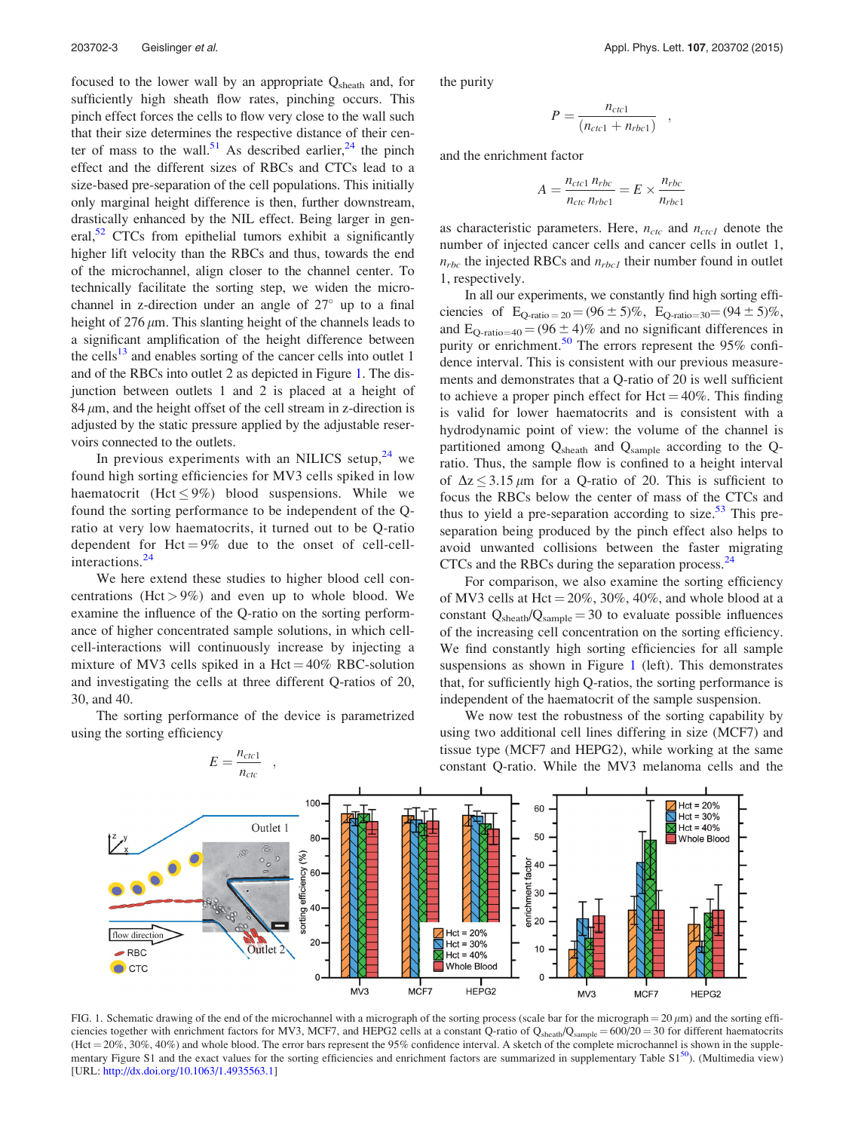<span id="page-3-0"></span>focused to the lower wall by an appropriate Q<sub>sheath</sub> and, for sufficiently high sheath flow rates, pinching occurs. This pinch effect forces the cells to flow very close to the wall such that their size determines the respective distance of their cen-ter of mass to the wall.<sup>51</sup> As described earlier,<sup>[24](#page-5-0)</sup> the pinch effect and the different sizes of RBCs and CTCs lead to a size-based pre-separation of the cell populations. This initially only marginal height difference is then, further downstream, drastically enhanced by the NIL effect. Being larger in general,<sup>52</sup> CTCs from epithelial tumors exhibit a significantly higher lift velocity than the RBCs and thus, towards the end of the microchannel, align closer to the channel center. To technically facilitate the sorting step, we widen the microchannel in z-direction under an angle of  $27^{\circ}$  up to a final height of  $276 \mu m$ . This slanting height of the channels leads to a significant amplification of the height difference between the cells<sup>13</sup> and enables sorting of the cancer cells into outlet 1 and of the RBCs into outlet 2 as depicted in Figure 1. The disjunction between outlets 1 and 2 is placed at a height of  $84 \mu m$ , and the height offset of the cell stream in z-direction is adjusted by the static pressure applied by the adjustable reservoirs connected to the outlets.

In previous experiments with an NILICS setup, $24$  we found high sorting efficiencies for MV3 cells spiked in low haematocrit (Hct  $\leq 9\%$ ) blood suspensions. While we found the sorting performance to be independent of the Qratio at very low haematocrits, it turned out to be Q-ratio dependent for  $Het=9\%$  due to the onset of cell-cell-interactions.<sup>[24](#page-5-0)</sup>

We here extend these studies to higher blood cell concentrations (Hct  $> 9\%$ ) and even up to whole blood. We examine the influence of the Q-ratio on the sorting performance of higher concentrated sample solutions, in which cellcell-interactions will continuously increase by injecting a mixture of MV3 cells spiked in a Hct =  $40\%$  RBC-solution and investigating the cells at three different Q-ratios of 20, 30, and 40.

The sorting performance of the device is parametrized using the sorting efficiency

the purity

$$
P = \frac{n_{ctc1}}{(n_{ctc1} + n_{rbc1})} \quad ,
$$

and the enrichment factor

$$
A = \frac{n_{ctc1} n_{rbc}}{n_{ctc} n_{rbc1}} = E \times \frac{n_{rbc}}{n_{rbc1}}
$$

as characteristic parameters. Here,  $n_{ctc}$  and  $n_{ctc1}$  denote the number of injected cancer cells and cancer cells in outlet 1,  $n_{rbc}$  the injected RBCs and  $n_{rbc1}$  their number found in outlet 1, respectively.

In all our experiments, we constantly find high sorting efficiencies of  $E_{Q\text{-ratio}=20} = (96 \pm 5)\%$ ,  $E_{Q\text{-ratio}=30} = (94 \pm 5)\%$ , and  $E_{Q\text{-ratio}=40} = (96 \pm 4)\%$  and no significant differences in purity or enrichment.<sup>[50](#page-5-0)</sup> The errors represent the 95% confidence interval. This is consistent with our previous measurements and demonstrates that a Q-ratio of 20 is well sufficient to achieve a proper pinch effect for  $Het=40\%$ . This finding is valid for lower haematocrits and is consistent with a hydrodynamic point of view: the volume of the channel is partitioned among  $Q_{\text{sheath}}$  and  $Q_{\text{sample}}$  according to the Qratio. Thus, the sample flow is confined to a height interval of  $\Delta z \leq 3.15 \,\mu\text{m}$  for a Q-ratio of 20. This is sufficient to focus the RBCs below the center of mass of the CTCs and thus to yield a pre-separation according to size. $53$  This preseparation being produced by the pinch effect also helps to avoid unwanted collisions between the faster migrating CTCs and the RBCs during the separation process.<sup>[24](#page-5-0)</sup>

For comparison, we also examine the sorting efficiency of MV3 cells at Hct  $= 20\%$ , 30%, 40%, and whole blood at a constant  $Q_{\text{sheath}}/Q_{\text{sample}} = 30$  to evaluate possible influences of the increasing cell concentration on the sorting efficiency. We find constantly high sorting efficiencies for all sample suspensions as shown in Figure 1 (left). This demonstrates that, for sufficiently high Q-ratios, the sorting performance is independent of the haematocrit of the sample suspension.



We now test the robustness of the sorting capability by using two additional cell lines differing in size (MCF7) and tissue type (MCF7 and HEPG2), while working at the same constant Q-ratio. While the MV3 melanoma cells and the

FIG. 1. Schematic drawing of the end of the microchannel with a micrograph of the sorting process (scale bar for the micrograph =  $20 \mu m$ ) and the sorting efficiencies together with enrichment factors for MV3, MCF7, and HEPG2 cells at a constant Q-ratio of  $Q_{\text{sheath}}/Q_{\text{sample}} = 600/20 = 30$  for different haematocrits  $(Hct = 20\%, 30\%, 40\%)$  and whole blood. The error bars represent the 95% confidence interval. A sketch of the complete microchannel is shown in the supplementary Figure S1 and the exact values for the sorting efficiencies and enrichment factors are summarized in supplementary Table  $S1^{50}$ ). (Multimedia view) [URL: <http://dx.doi.org/10.1063/1.4935563.1>]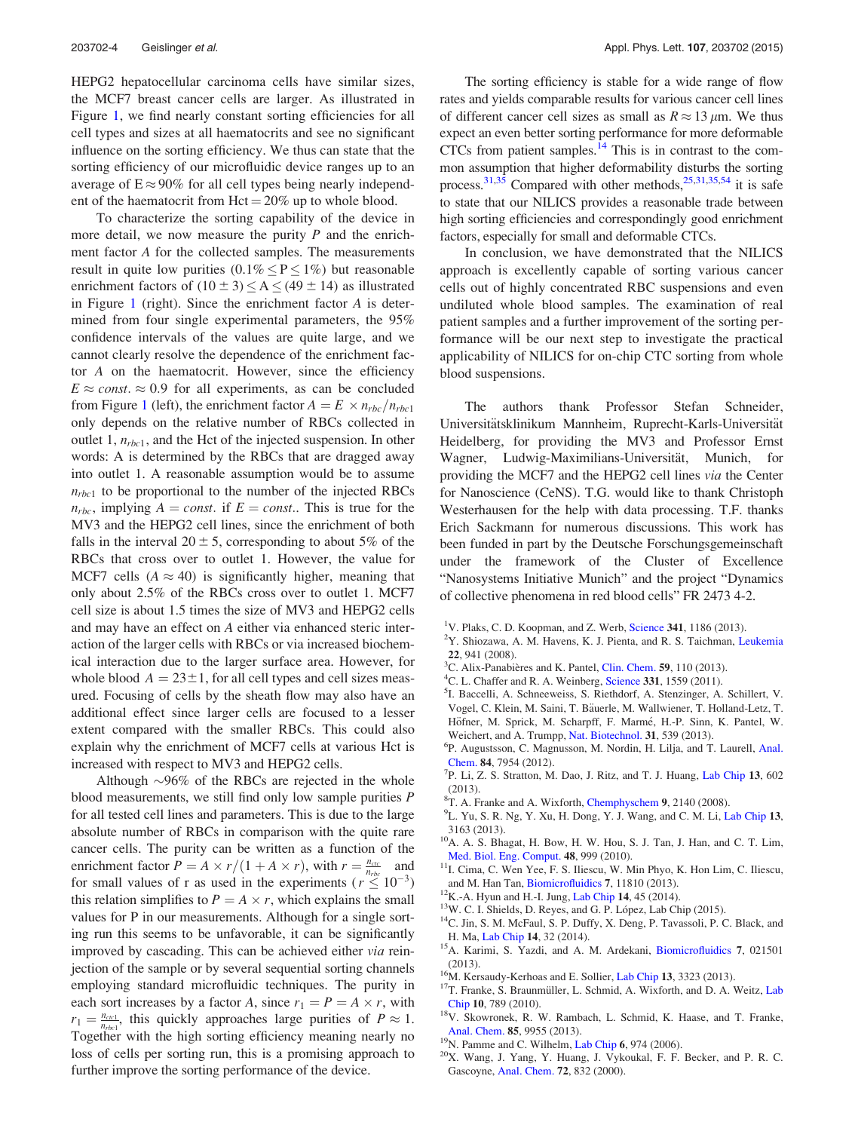<span id="page-4-0"></span>HEPG2 hepatocellular carcinoma cells have similar sizes, the MCF7 breast cancer cells are larger. As illustrated in Figure [1,](#page-3-0) we find nearly constant sorting efficiencies for all cell types and sizes at all haematocrits and see no significant influence on the sorting efficiency. We thus can state that the sorting efficiency of our microfluidic device ranges up to an average of  $E \approx 90\%$  for all cell types being nearly independent of the haematocrit from  $Het=20\%$  up to whole blood.

To characterize the sorting capability of the device in more detail, we now measure the purity  $P$  and the enrichment factor A for the collected samples. The measurements result in quite low purities  $(0.1\% \le P \le 1\%)$  but reasonable enrichment factors of  $(10 \pm 3) \le A \le (49 \pm 14)$  as illustrated in Figure [1](#page-3-0) (right). Since the enrichment factor  $A$  is determined from four single experimental parameters, the 95% confidence intervals of the values are quite large, and we cannot clearly resolve the dependence of the enrichment factor A on the haematocrit. However, since the efficiency  $E \approx const. \approx 0.9$  for all experiments, as can be concluded from Figure [1](#page-3-0) (left), the enrichment factor  $A = E \times n_{rbc}/n_{rbc1}$ only depends on the relative number of RBCs collected in outlet 1,  $n_{\text{rbc1}}$ , and the Hct of the injected suspension. In other words: A is determined by the RBCs that are dragged away into outlet 1. A reasonable assumption would be to assume  $n_{rbc1}$  to be proportional to the number of the injected RBCs  $n_{\text{rbc}}$ , implying  $A = const.$  if  $E = const.$  This is true for the MV3 and the HEPG2 cell lines, since the enrichment of both falls in the interval  $20 \pm 5$ , corresponding to about 5% of the RBCs that cross over to outlet 1. However, the value for MCF7 cells  $(A \approx 40)$  is significantly higher, meaning that only about 2.5% of the RBCs cross over to outlet 1. MCF7 cell size is about 1.5 times the size of MV3 and HEPG2 cells and may have an effect on A either via enhanced steric interaction of the larger cells with RBCs or via increased biochemical interaction due to the larger surface area. However, for whole blood  $A = 23 \pm 1$ , for all cell types and cell sizes measured. Focusing of cells by the sheath flow may also have an additional effect since larger cells are focused to a lesser extent compared with the smaller RBCs. This could also explain why the enrichment of MCF7 cells at various Hct is increased with respect to MV3 and HEPG2 cells.

Although  $\sim 96\%$  of the RBCs are rejected in the whole blood measurements, we still find only low sample purities  $P$ for all tested cell lines and parameters. This is due to the large absolute number of RBCs in comparison with the quite rare cancer cells. The purity can be written as a function of the enrichment factor  $P = A \times r/(1 + A \times r)$ , with  $r = \frac{n_{ctc}}{n_{rbc}}$  and for small values of r as used in the experiments ( $r \leq 10^{-3}$ ) this relation simplifies to  $P = A \times r$ , which explains the small values for P in our measurements. Although for a single sorting run this seems to be unfavorable, it can be significantly improved by cascading. This can be achieved either via reinjection of the sample or by several sequential sorting channels employing standard microfluidic techniques. The purity in each sort increases by a factor A, since  $r_1 = P = A \times r$ , with  $r_1 = \frac{n_{\text{c}}}{n_{\text{rbc}}}$ , this quickly approaches large purities of  $P \approx 1$ . Together with the high sorting efficiency meaning nearly no loss of cells per sorting run, this is a promising approach to further improve the sorting performance of the device.

The sorting efficiency is stable for a wide range of flow rates and yields comparable results for various cancer cell lines of different cancer cell sizes as small as  $R \approx 13 \,\mu \text{m}$ . We thus expect an even better sorting performance for more deformable CTCs from patient samples.<sup>14</sup> This is in contrast to the common assumption that higher deformability disturbs the sorting process.<sup>31,35</sup> Compared with other methods,<sup>25,31,35,54</sup> it is safe to state that our NILICS provides a reasonable trade between high sorting efficiencies and correspondingly good enrichment factors, especially for small and deformable CTCs.

In conclusion, we have demonstrated that the NILICS approach is excellently capable of sorting various cancer cells out of highly concentrated RBC suspensions and even undiluted whole blood samples. The examination of real patient samples and a further improvement of the sorting performance will be our next step to investigate the practical applicability of NILICS for on-chip CTC sorting from whole blood suspensions.

The authors thank Professor Stefan Schneider, Universitätsklinikum Mannheim, Ruprecht-Karls-Universität Heidelberg, for providing the MV3 and Professor Ernst Wagner, Ludwig-Maximilians-Universität, Munich, for providing the MCF7 and the HEPG2 cell lines via the Center for Nanoscience (CeNS). T.G. would like to thank Christoph Westerhausen for the help with data processing. T.F. thanks Erich Sackmann for numerous discussions. This work has been funded in part by the Deutsche Forschungsgemeinschaft under the framework of the Cluster of Excellence "Nanosystems Initiative Munich" and the project "Dynamics of collective phenomena in red blood cells" FR 2473 4-2.

- $2Y$ . Shiozawa, A. M. Havens, K. J. Pienta, and R. S. Taichman, [Leukemia](http://dx.doi.org/10.1038/leu.2008.48) <sup>22</sup>, 941 (2008). <sup>3</sup>
- ${}^{3}$ C. Alix-Panabières and K. Pantel, [Clin. Chem.](http://dx.doi.org/10.1373/clinchem.2012.194258) 59, 110 (2013).
- ${}^{4}$ C. L. Chaffer and R. A. Weinberg, [Science](http://dx.doi.org/10.1126/science.1203543) 331, 1559 (2011).
- <sup>5</sup>I. Baccelli, A. Schneeweiss, S. Riethdorf, A. Stenzinger, A. Schillert, V. Vogel, C. Klein, M. Saini, T. Bäuerle, M. Wallwiener, T. Holland-Letz, T. Höfner, M. Sprick, M. Scharpff, F. Marmé, H.-P. Sinn, K. Pantel, W. Weichert, and A. Trumpp, [Nat. Biotechnol.](http://dx.doi.org/10.1038/nbt.2576) 31, 539 (2013).
- <sup>6</sup>P. Augustsson, C. Magnusson, M. Nordin, H. Lilja, and T. Laurell, [Anal.](http://dx.doi.org/10.1021/ac301723s) [Chem.](http://dx.doi.org/10.1021/ac301723s) 84, 7954 (2012).
- ${}^{7}P$ . Li, Z. S. Stratton, M. Dao, J. Ritz, and T. J. Huang, [Lab Chip](http://dx.doi.org/10.1039/c2lc90148j) 13, 602  $(2013)$
- <sup>8</sup>T. A. Franke and A. Wixforth, [Chemphyschem](http://dx.doi.org/10.1002/cphc.200800349) 9, 2140 (2008).<br><sup>9</sup>U. Yu. S. P. No. Y. Yu. H. Dong, Y. J. Wang, and C. M. J. J.
- L. Yu, S. R. Ng, Y. Xu, H. Dong, Y. J. Wang, and C. M. Li, [Lab Chip](http://dx.doi.org/10.1039/c3lc00052d) 13,
- 3163 (2013). 10A. A. S. Bhagat, H. Bow, H. W. Hou, S. J. Tan, J. Han, and C. T. Lim,
- [Med. Biol. Eng. Comput.](http://dx.doi.org/10.1007/s11517-010-0611-4) <sup>48</sup>, 999 (2010). 11I. Cima, C. Wen Yee, F. S. Iliescu, W. Min Phyo, K. Hon Lim, C. Iliescu, and M. Han Tan, [Biomicrofluidics](http://dx.doi.org/10.1063/1.4780062) 7, 11810 (2013).<br><sup>12</sup>K.-A. Hyun and H.-I. Jung, [Lab Chip](http://dx.doi.org/10.1039/C3LC50582K) 14, 45 (2014).<br><sup>13</sup>W. C. I. Shields, D. Reyes, and G. P. López, Lab Chip (2015).
- 
- 
- $14$ C. Jin, S. M. McFaul, S. P. Duffy, X. Deng, P. Tavassoli, P. C. Black, and
- H. Ma, [Lab Chip](http://dx.doi.org/10.1039/C3LC50625H) 14, 32 (2014). <sup>15</sup>A. Karimi, S. Yazdi, and A. M. Ardekani, [Biomicrofluidics](http://dx.doi.org/10.1063/1.4799787) 7, 021501
- 
- (2013). <sup>16</sup>M. Kersaudy-Kerhoas and E. Sollier, [Lab Chip](http://dx.doi.org/10.1039/c3lc50432h) 13, 3323 (2013). <sup>17</sup>T. Franke, S. Braunmüller, L. Schmid, A. Wixforth, and D. A. Weitz, [Lab](http://dx.doi.org/10.1039/b915522h)
- [Chip](http://dx.doi.org/10.1039/b915522h) <sup>10</sup>, 789 (2010). 18V. Skowronek, R. W. Rambach, L. Schmid, K. Haase, and T. Franke,
- 
- [Anal. Chem.](http://dx.doi.org/10.1021/ac402607p) 85, 9955 (2013).  $^{19}$ N. Pamme and C. Wilhelm, [Lab Chip](http://dx.doi.org/10.1039/b604542a) 6, 974 (2006).  $^{20}$ X. Wang, J. Yang, Y. Huang, J. Vykoukal, F. F. Becker, and P. R. C. Gascoyne, [Anal. Chem.](http://dx.doi.org/10.1021/ac990922o) 72, 832 (2000).

<sup>&</sup>lt;sup>1</sup>V. Plaks, C. D. Koopman, and Z. Werb, [Science](http://dx.doi.org/10.1126/science.1235226) 341, 1186 (2013).<br><sup>2</sup>V. Shiozawa, A. M. Hayans, K. J. Pienta, and P. S. Taichman, L.